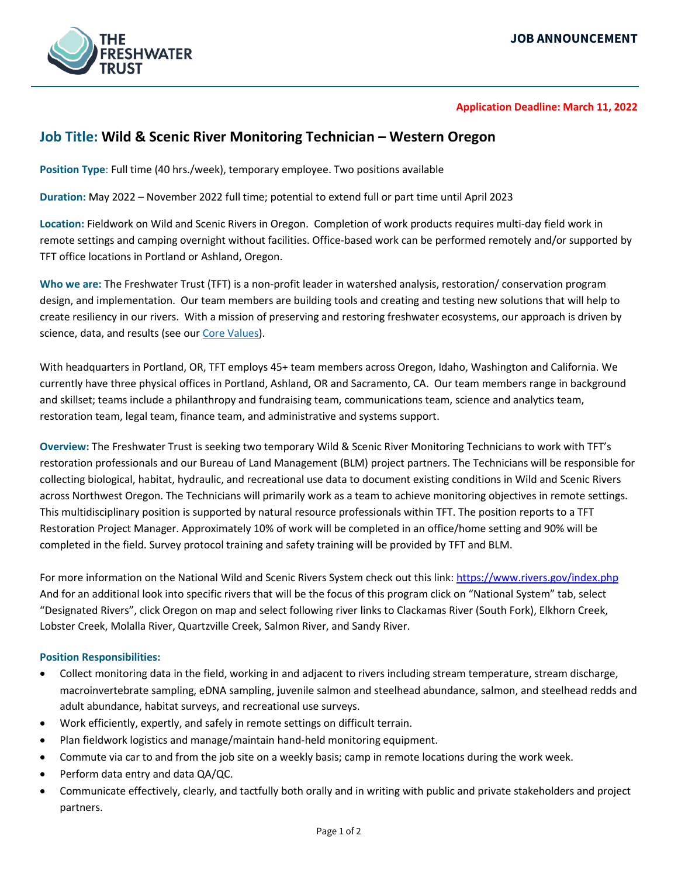

## **Application Deadline: March 11, 2022**

# **Job Title: Wild & Scenic River Monitoring Technician – Western Oregon**

**Position Type**: Full time (40 hrs./week), temporary employee. Two positions available

**Duration:** May 2022 – November 2022 full time; potential to extend full or part time until April 2023

**Location:** Fieldwork on Wild and Scenic Rivers in Oregon. Completion of work products requires multi-day field work in remote settings and camping overnight without facilities. Office-based work can be performed remotely and/or supported by TFT office locations in Portland or Ashland, Oregon.

**Who we are:** The Freshwater Trust (TFT) is a non-profit leader in watershed analysis, restoration/ conservation program design, and implementation. Our team members are building tools and creating and testing new solutions that will help to create resiliency in our rivers. With a mission of preserving and restoring freshwater ecosystems, our approach is driven by science, data, and results (see our [Core Values\)](https://www.thefreshwatertrust.org/about-us/core-values/).

With headquarters in Portland, OR, TFT employs 45+ team members across Oregon, Idaho, Washington and California. We currently have three physical offices in Portland, Ashland, OR and Sacramento, CA. Our team members range in background and skillset; teams include a philanthropy and fundraising team, communications team, science and analytics team, restoration team, legal team, finance team, and administrative and systems support.

**Overview:** The Freshwater Trust is seeking two temporary Wild & Scenic River Monitoring Technicians to work with TFT's restoration professionals and our Bureau of Land Management (BLM) project partners. The Technicians will be responsible for collecting biological, habitat, hydraulic, and recreational use data to document existing conditions in Wild and Scenic Rivers across Northwest Oregon. The Technicians will primarily work as a team to achieve monitoring objectives in remote settings. This multidisciplinary position is supported by natural resource professionals within TFT. The position reports to a TFT Restoration Project Manager. Approximately 10% of work will be completed in an office/home setting and 90% will be completed in the field. Survey protocol training and safety training will be provided by TFT and BLM.

For more information on the National Wild and Scenic Rivers System check out this link:<https://www.rivers.gov/index.php> And for an additional look into specific rivers that will be the focus of this program click on "National System" tab, select "Designated Rivers", click Oregon on map and select following river links to Clackamas River (South Fork), Elkhorn Creek, Lobster Creek, Molalla River, Quartzville Creek, Salmon River, and Sandy River.

### **Position Responsibilities:**

- Collect monitoring data in the field, working in and adjacent to rivers including stream temperature, stream discharge, macroinvertebrate sampling, eDNA sampling, juvenile salmon and steelhead abundance, salmon, and steelhead redds and adult abundance, habitat surveys, and recreational use surveys.
- Work efficiently, expertly, and safely in remote settings on difficult terrain.
- Plan fieldwork logistics and manage/maintain hand-held monitoring equipment.
- Commute via car to and from the job site on a weekly basis; camp in remote locations during the work week.
- Perform data entry and data QA/QC.
- Communicate effectively, clearly, and tactfully both orally and in writing with public and private stakeholders and project partners.